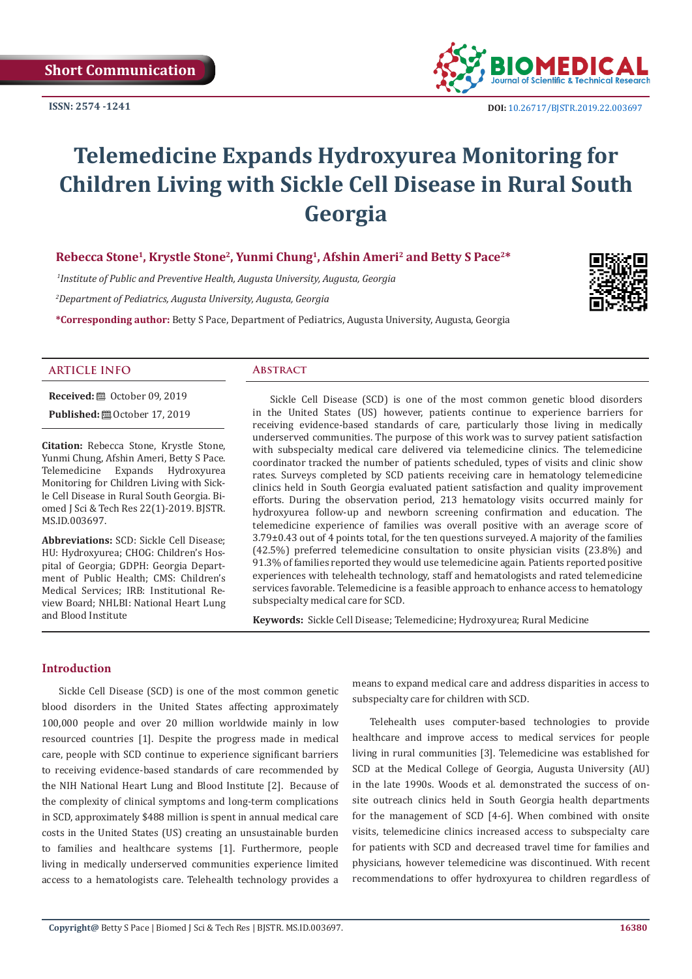**Short Communication**

**ISSN: 2574 -1241**



# **Telemedicine Expands Hydroxyurea Monitoring for Children Living with Sickle Cell Disease in Rural South Georgia**

# **Rebecca Stone1, Krystle Stone2, Yunmi Chung1, Afshin Ameri2 and Betty S Pace2\***

 *1Institute of Public and Preventive Health, Augusta University, Augusta, Georgia*

*2 Department of Pediatrics, Augusta University, Augusta, Georgia*

**\*Corresponding author:** Betty S Pace, Department of Pediatrics, Augusta University, Augusta, Georgia



# **ARTICLE INFO Abstract**

**Received: □** October 09, 2019

**Published:** ■ October 17, 2019

**Citation:** Rebecca Stone, Krystle Stone, Yunmi Chung, Afshin Ameri, Betty S Pace. Telemedicine Expands Hydroxyurea Monitoring for Children Living with Sickle Cell Disease in Rural South Georgia. Biomed J Sci & Tech Res 22(1)-2019. BJSTR. MS.ID.003697.

**Abbreviations:** SCD: Sickle Cell Disease; HU: Hydroxyurea; CHOG: Children's Hospital of Georgia; GDPH: Georgia Department of Public Health; CMS: Children's Medical Services; IRB: Institutional Review Board; NHLBI: National Heart Lung and Blood Institute

Sickle Cell Disease (SCD) is one of the most common genetic blood disorders in the United States (US) however, patients continue to experience barriers for receiving evidence-based standards of care, particularly those living in medically underserved communities. The purpose of this work was to survey patient satisfaction with subspecialty medical care delivered via telemedicine clinics. The telemedicine coordinator tracked the number of patients scheduled, types of visits and clinic show rates. Surveys completed by SCD patients receiving care in hematology telemedicine clinics held in South Georgia evaluated patient satisfaction and quality improvement efforts. During the observation period, 213 hematology visits occurred mainly for hydroxyurea follow-up and newborn screening confirmation and education. The telemedicine experience of families was overall positive with an average score of 3.79±0.43 out of 4 points total, for the ten questions surveyed. A majority of the families (42.5%) preferred telemedicine consultation to onsite physician visits (23.8%) and 91.3% of families reported they would use telemedicine again. Patients reported positive experiences with telehealth technology, staff and hematologists and rated telemedicine services favorable. Telemedicine is a feasible approach to enhance access to hematology subspecialty medical care for SCD.

**Keywords:** Sickle Cell Disease; Telemedicine; Hydroxyurea; Rural Medicine

# **Introduction**

Sickle Cell Disease (SCD) is one of the most common genetic blood disorders in the United States affecting approximately 100,000 people and over 20 million worldwide mainly in low resourced countries [1]. Despite the progress made in medical care, people with SCD continue to experience significant barriers to receiving evidence-based standards of care recommended by the NIH National Heart Lung and Blood Institute [2]. Because of the complexity of clinical symptoms and long-term complications in SCD, approximately \$488 million is spent in annual medical care costs in the United States (US) creating an unsustainable burden to families and healthcare systems [1]. Furthermore, people living in medically underserved communities experience limited access to a hematologists care. Telehealth technology provides a means to expand medical care and address disparities in access to subspecialty care for children with SCD.

Telehealth uses computer-based technologies to provide healthcare and improve access to medical services for people living in rural communities [3]. Telemedicine was established for SCD at the Medical College of Georgia, Augusta University (AU) in the late 1990s. Woods et al. demonstrated the success of onsite outreach clinics held in South Georgia health departments for the management of SCD [4-6]. When combined with onsite visits, telemedicine clinics increased access to subspecialty care for patients with SCD and decreased travel time for families and physicians, however telemedicine was discontinued. With recent recommendations to offer hydroxyurea to children regardless of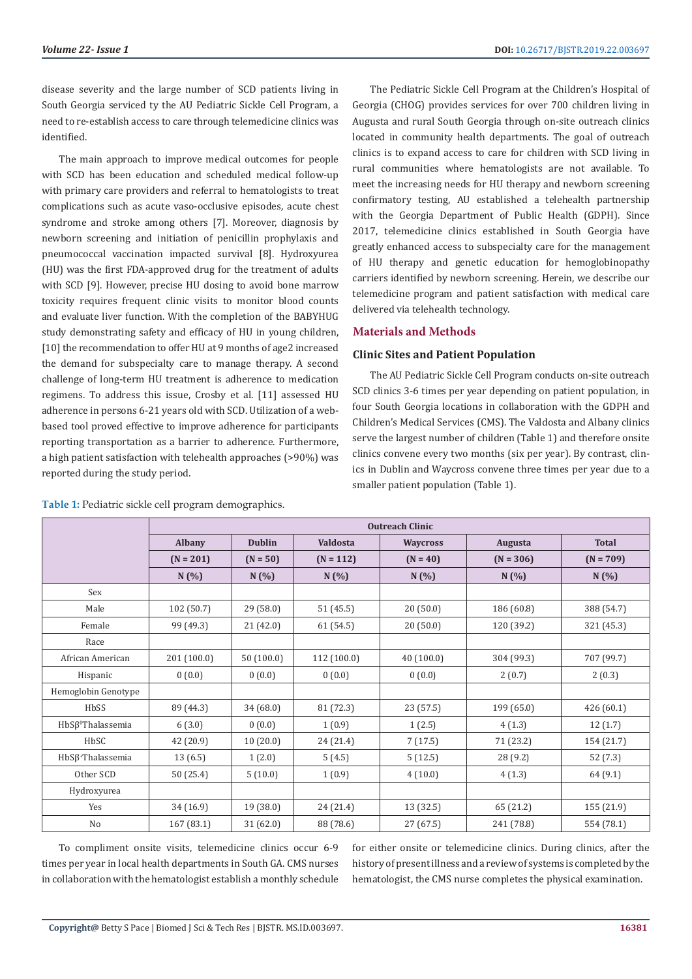disease severity and the large number of SCD patients living in South Georgia serviced ty the AU Pediatric Sickle Cell Program, a need to re-establish access to care through telemedicine clinics was identified.

The main approach to improve medical outcomes for people with SCD has been education and scheduled medical follow-up with primary care providers and referral to hematologists to treat complications such as acute vaso-occlusive episodes, acute chest syndrome and stroke among others [7]. Moreover, diagnosis by newborn screening and initiation of penicillin prophylaxis and pneumococcal vaccination impacted survival [8]. Hydroxyurea (HU) was the first FDA-approved drug for the treatment of adults with SCD [9]. However, precise HU dosing to avoid bone marrow toxicity requires frequent clinic visits to monitor blood counts and evaluate liver function. With the completion of the BABYHUG study demonstrating safety and efficacy of HU in young children, [10] the recommendation to offer HU at 9 months of age2 increased the demand for subspecialty care to manage therapy. A second challenge of long-term HU treatment is adherence to medication regimens. To address this issue, Crosby et al. [11] assessed HU adherence in persons 6-21 years old with SCD. Utilization of a webbased tool proved effective to improve adherence for participants reporting transportation as a barrier to adherence. Furthermore, a high patient satisfaction with telehealth approaches (>90%) was reported during the study period.

The Pediatric Sickle Cell Program at the Children's Hospital of Georgia (CHOG) provides services for over 700 children living in Augusta and rural South Georgia through on-site outreach clinics located in community health departments. The goal of outreach clinics is to expand access to care for children with SCD living in rural communities where hematologists are not available. To meet the increasing needs for HU therapy and newborn screening confirmatory testing, AU established a telehealth partnership with the Georgia Department of Public Health (GDPH). Since 2017, telemedicine clinics established in South Georgia have greatly enhanced access to subspecialty care for the management of HU therapy and genetic education for hemoglobinopathy carriers identified by newborn screening. Herein, we describe our telemedicine program and patient satisfaction with medical care delivered via telehealth technology.

# **Materials and Methods**

# **Clinic Sites and Patient Population**

The AU Pediatric Sickle Cell Program conducts on-site outreach SCD clinics 3-6 times per year depending on patient population, in four South Georgia locations in collaboration with the GDPH and Children's Medical Services (CMS). The Valdosta and Albany clinics serve the largest number of children (Table 1) and therefore onsite clinics convene every two months (six per year). By contrast, clinics in Dublin and Waycross convene three times per year due to a smaller patient population (Table 1).

|                               | <b>Outreach Clinic</b> |               |                 |                 |             |              |  |  |
|-------------------------------|------------------------|---------------|-----------------|-----------------|-------------|--------------|--|--|
|                               | <b>Albany</b>          | <b>Dublin</b> | <b>Valdosta</b> | <b>Waycross</b> | Augusta     | <b>Total</b> |  |  |
|                               | $(N = 201)$            | $(N = 50)$    | $(N = 112)$     | $(N = 40)$      | $(N = 306)$ | $(N = 709)$  |  |  |
|                               | N(%)                   | N(%)          | N(%)            | N(%)            | N(%)        | N(%)         |  |  |
| Sex                           |                        |               |                 |                 |             |              |  |  |
| Male                          | 102 (50.7)             | 29 (58.0)     | 51 (45.5)       | 20(50.0)        | 186 (60.8)  | 388 (54.7)   |  |  |
| Female                        | 99 (49.3)              | 21 (42.0)     | 61 (54.5)       | 20(50.0)        | 120 (39.2)  | 321 (45.3)   |  |  |
| Race                          |                        |               |                 |                 |             |              |  |  |
| African American              | 201 (100.0)            | 50(100.0)     | 112(100.0)      | 40(100.0)       | 304 (99.3)  | 707 (99.7)   |  |  |
| Hispanic                      | 0(0.0)                 | 0(0.0)        | 0(0.0)          | 0(0.0)          | 2(0.7)      | 2(0.3)       |  |  |
| Hemoglobin Genotype           |                        |               |                 |                 |             |              |  |  |
| HbSS                          | 89 (44.3)              | 34 (68.0)     | 81 (72.3)       | 23(57.5)        | 199 (65.0)  | 426(60.1)    |  |  |
| $HbS\beta^{0}$ Thalassemia    | 6(3.0)                 | 0(0.0)        | 1(0.9)          | 1(2.5)          | 4(1.3)      | 12(1.7)      |  |  |
| HbSC                          | 42 (20.9)              | 10(20.0)      | 24 (21.4)       | 7(17.5)         | 71 (23.2)   | 154 (21.7)   |  |  |
| HbSβ <sup>+</sup> Thalassemia | 13(6.5)                | 1(2.0)        | 5(4.5)          | 5(12.5)         | 28(9.2)     | 52(7.3)      |  |  |
| Other SCD                     | 50 (25.4)              | 5(10.0)       | 1(0.9)          | 4(10.0)         | 4(1.3)      | 64(9.1)      |  |  |
| Hydroxyurea                   |                        |               |                 |                 |             |              |  |  |
| Yes                           | 34 (16.9)              | 19 (38.0)     | 24 (21.4)       | 13 (32.5)       | 65 (21.2)   | 155 (21.9)   |  |  |
| No                            | 167 (83.1)             | 31 (62.0)     | 88 (78.6)       | 27 (67.5)       | 241 (78.8)  | 554 (78.1)   |  |  |

**Table 1:** Pediatric sickle cell program demographics.

To compliment onsite visits, telemedicine clinics occur 6-9 times per year in local health departments in South GA. CMS nurses in collaboration with the hematologist establish a monthly schedule

for either onsite or telemedicine clinics. During clinics, after the history of present illness and a review of systems is completed by the hematologist, the CMS nurse completes the physical examination.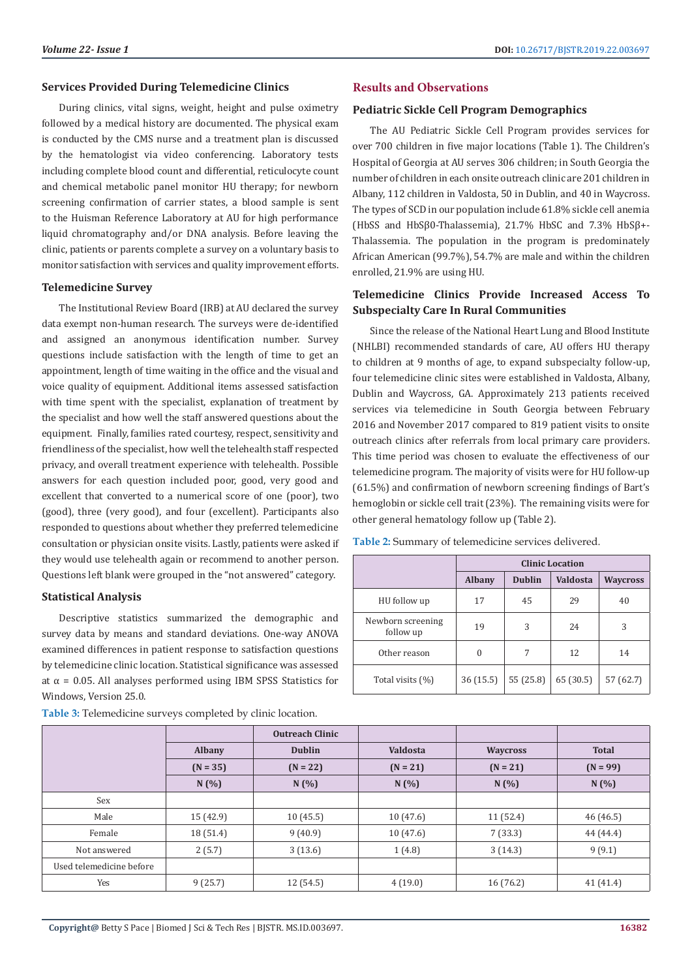# **Services Provided During Telemedicine Clinics**

During clinics, vital signs, weight, height and pulse oximetry followed by a medical history are documented. The physical exam is conducted by the CMS nurse and a treatment plan is discussed by the hematologist via video conferencing. Laboratory tests including complete blood count and differential, reticulocyte count and chemical metabolic panel monitor HU therapy; for newborn screening confirmation of carrier states, a blood sample is sent to the Huisman Reference Laboratory at AU for high performance liquid chromatography and/or DNA analysis. Before leaving the clinic, patients or parents complete a survey on a voluntary basis to monitor satisfaction with services and quality improvement efforts.

# **Telemedicine Survey**

The Institutional Review Board (IRB) at AU declared the survey data exempt non-human research. The surveys were de-identified and assigned an anonymous identification number. Survey questions include satisfaction with the length of time to get an appointment, length of time waiting in the office and the visual and voice quality of equipment. Additional items assessed satisfaction with time spent with the specialist, explanation of treatment by the specialist and how well the staff answered questions about the equipment. Finally, families rated courtesy, respect, sensitivity and friendliness of the specialist, how well the telehealth staff respected privacy, and overall treatment experience with telehealth. Possible answers for each question included poor, good, very good and excellent that converted to a numerical score of one (poor), two (good), three (very good), and four (excellent). Participants also responded to questions about whether they preferred telemedicine consultation or physician onsite visits. Lastly, patients were asked if they would use telehealth again or recommend to another person. Questions left blank were grouped in the "not answered" category.

## **Statistical Analysis**

Descriptive statistics summarized the demographic and survey data by means and standard deviations. One-way ANOVA examined differences in patient response to satisfaction questions by telemedicine clinic location. Statistical significance was assessed at α = 0.05. All analyses performed using IBM SPSS Statistics for Windows, Version 25.0.

| <b>Table 3:</b> Telemedicine surveys completed by clinic location. |               |                        |                 |                 |              |  |  |
|--------------------------------------------------------------------|---------------|------------------------|-----------------|-----------------|--------------|--|--|
|                                                                    |               | <b>Outreach Clinic</b> |                 |                 |              |  |  |
|                                                                    | <b>Albany</b> | <b>Dublin</b>          | <b>Valdosta</b> | <b>Waycross</b> | <b>Total</b> |  |  |
|                                                                    | $(N = 35)$    | $(N = 22)$             | $(N = 21)$      | $(N = 21)$      | $(N = 99)$   |  |  |
|                                                                    | N(%)          | N(%)                   | N(%)            | N(%)            | N(%)         |  |  |
| Sex                                                                |               |                        |                 |                 |              |  |  |
| Male                                                               | 15(42.9)      | 10(45.5)               | 10(47.6)        | 11 (52.4)       | 46(46.5)     |  |  |
| Female                                                             | 18 (51.4)     | 9(40.9)                | 10(47.6)        | 7(33.3)         | 44 (44.4)    |  |  |
| Not answered                                                       | 2(5.7)        | 3(13.6)                | 1(4.8)          | 3(14.3)         | 9(9.1)       |  |  |
| Used telemedicine before                                           |               |                        |                 |                 |              |  |  |
| Yes                                                                | 9(25.7)       | 12(54.5)               | 4(19.0)         | 16(76.2)        | 41(41.4)     |  |  |

**Table 3:** Telemedicine surveys completed by clinic location.

# **Results and Observations**

## **Pediatric Sickle Cell Program Demographics**

The AU Pediatric Sickle Cell Program provides services for over 700 children in five major locations (Table 1). The Children's Hospital of Georgia at AU serves 306 children; in South Georgia the number of children in each onsite outreach clinic are 201 children in Albany, 112 children in Valdosta, 50 in Dublin, and 40 in Waycross. The types of SCD in our population include 61.8% sickle cell anemia (HbSS and HbSβ0-Thalassemia), 21.7% HbSC and 7.3% HbSβ+- Thalassemia. The population in the program is predominately African American (99.7%), 54.7% are male and within the children enrolled, 21.9% are using HU.

# **Telemedicine Clinics Provide Increased Access To Subspecialty Care In Rural Communities**

Since the release of the National Heart Lung and Blood Institute (NHLBI) recommended standards of care, AU offers HU therapy to children at 9 months of age, to expand subspecialty follow-up, four telemedicine clinic sites were established in Valdosta, Albany, Dublin and Waycross, GA. Approximately 213 patients received services via telemedicine in South Georgia between February 2016 and November 2017 compared to 819 patient visits to onsite outreach clinics after referrals from local primary care providers. This time period was chosen to evaluate the effectiveness of our telemedicine program. The majority of visits were for HU follow-up (61.5%) and confirmation of newborn screening findings of Bart's hemoglobin or sickle cell trait (23%). The remaining visits were for other general hematology follow up (Table 2).

|                                | <b>Clinic Location</b> |               |                                    |           |  |
|--------------------------------|------------------------|---------------|------------------------------------|-----------|--|
|                                | <b>Albany</b>          | <b>Dublin</b> | <b>Valdosta</b><br><b>Waycross</b> |           |  |
| HU follow up                   | 17                     | 45            | 29                                 | 40        |  |
| Newborn screening<br>follow up | 19                     | 3             | 24                                 | 3         |  |
| Other reason                   | $\mathbf{0}$           | 7             | 12                                 | 14        |  |
| Total visits (%)               | 36 (15.5)              | 55 (25.8)     | 65 (30.5)                          | 57 (62.7) |  |

**Table 2:** Summary of telemedicine services delivered.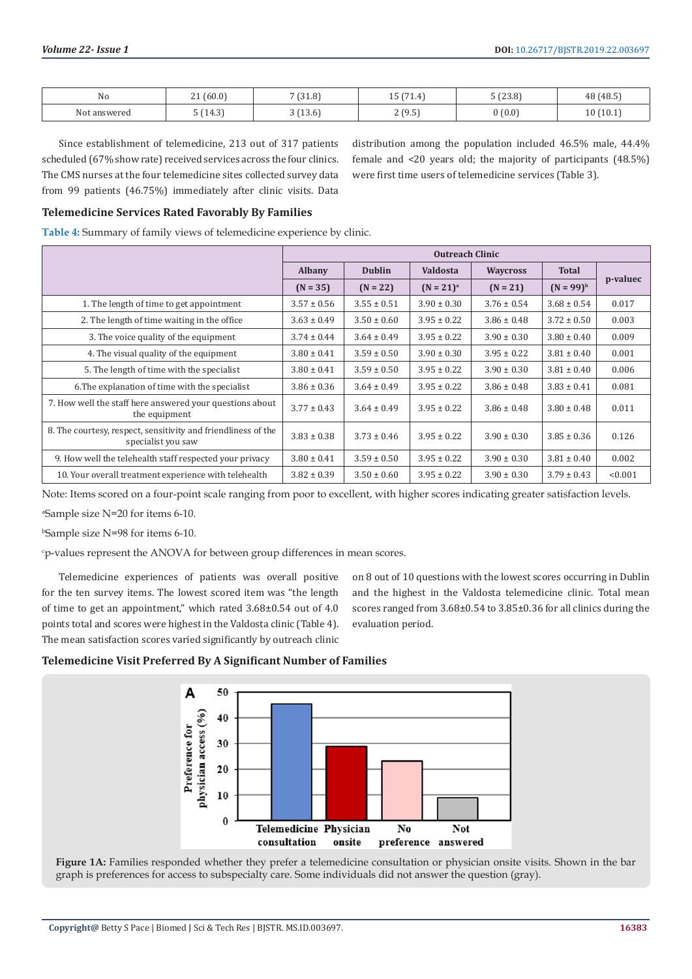| No                   | (60.0)<br>$\sim$<br><u>_</u> | 7(31.8) | $4 - 6 - 4$<br>1.4<br>ᅩ | 5 (23.8) | 48 (48.5) |
|----------------------|------------------------------|---------|-------------------------|----------|-----------|
| Not<br>answered<br>. | $\sim$<br>14.3<br>____       | (13.6)  | (95<br>ن. ر<br><u>.</u> | (0.0)    | 10(10.1)  |

Since establishment of telemedicine, 213 out of 317 patients scheduled (67% show rate) received services across the four clinics. The CMS nurses at the four telemedicine sites collected survey data from 99 patients (46.75%) immediately after clinic visits. Data

distribution among the population included 46.5% male, 44.4% female and <20 years old; the majority of participants (48.5%) were first time users of telemedicine services (Table 3).

# **Telemedicine Services Rated Favorably By Families**

**Table 4:** Summary of family views of telemedicine experience by clinic.

|                                                                                     | <b>Outreach Clinic</b> |                 |                 |                 |                 |          |
|-------------------------------------------------------------------------------------|------------------------|-----------------|-----------------|-----------------|-----------------|----------|
|                                                                                     | <b>Albany</b>          | <b>Dublin</b>   | <b>Valdosta</b> | <b>Waycross</b> | <b>Total</b>    |          |
|                                                                                     | $(N = 35)$             | $(N = 22)$      | $(N = 21)^{a}$  | $(N = 21)$      | $(N = 99)^{b}$  | p-valuec |
| 1. The length of time to get appointment                                            | $3.57 \pm 0.56$        | $3.55 \pm 0.51$ | $3.90 \pm 0.30$ | $3.76 \pm 0.54$ | $3.68 \pm 0.54$ | 0.017    |
| 2. The length of time waiting in the office                                         | $3.63 \pm 0.49$        | $3.50 \pm 0.60$ | $3.95 \pm 0.22$ | $3.86 \pm 0.48$ | $3.72 \pm 0.50$ | 0.003    |
| 3. The voice quality of the equipment                                               | $3.74 \pm 0.44$        | $3.64 \pm 0.49$ | $3.95 \pm 0.22$ | $3.90 \pm 0.30$ | $3.80 \pm 0.40$ | 0.009    |
| 4. The visual quality of the equipment                                              | $3.80 \pm 0.41$        | $3.59 \pm 0.50$ | $3.90 \pm 0.30$ | $3.95 \pm 0.22$ | $3.81 \pm 0.40$ | 0.001    |
| 5. The length of time with the specialist                                           | $3.80 \pm 0.41$        | $3.59 \pm 0.50$ | $3.95 \pm 0.22$ | $3.90 \pm 0.30$ | $3.81 \pm 0.40$ | 0.006    |
| 6. The explanation of time with the specialist                                      | $3.86 \pm 0.36$        | $3.64 \pm 0.49$ | $3.95 \pm 0.22$ | $3.86 \pm 0.48$ | $3.83 \pm 0.41$ | 0.081    |
| 7. How well the staff here answered your questions about<br>the equipment           | $3.77 \pm 0.43$        | $3.64 \pm 0.49$ | $3.95 \pm 0.22$ | $3.86 \pm 0.48$ | $3.80 \pm 0.48$ | 0.011    |
| 8. The courtesy, respect, sensitivity and friendliness of the<br>specialist you saw | $3.83 \pm 0.38$        | $3.73 \pm 0.46$ | $3.95 \pm 0.22$ | $3.90 \pm 0.30$ | $3.85 \pm 0.36$ | 0.126    |
| 9. How well the telehealth staff respected your privacy                             | $3.80 \pm 0.41$        | $3.59 \pm 0.50$ | $3.95 \pm 0.22$ | $3.90 \pm 0.30$ | $3.81 \pm 0.40$ | 0.002    |
| 10. Your overall treatment experience with telehealth                               | $3.82 \pm 0.39$        | $3.50 \pm 0.60$ | $3.95 \pm 0.22$ | $3.90 \pm 0.30$ | $3.79 \pm 0.43$ | < 0.001  |

Note: Items scored on a four-point scale ranging from poor to excellent, with higher scores indicating greater satisfaction levels.

a Sample size N=20 for items 6-10.

b Sample size N=98 for items 6-10.

c p-values represent the ANOVA for between group differences in mean scores.

Telemedicine experiences of patients was overall positive for the ten survey items. The lowest scored item was "the length of time to get an appointment," which rated 3.68±0.54 out of 4.0 points total and scores were highest in the Valdosta clinic (Table 4). The mean satisfaction scores varied significantly by outreach clinic

on 8 out of 10 questions with the lowest scores occurring in Dublin and the highest in the Valdosta telemedicine clinic. Total mean scores ranged from 3.68±0.54 to 3.85±0.36 for all clinics during the evaluation period.

## **Telemedicine Visit Preferred By A Significant Number of Families**



**Figure 1A:** Families responded whether they prefer a telemedicine consultation or physician onsite visits. Shown in the bar graph is preferences for access to subspecialty care. Some individuals did not answer the question (gray).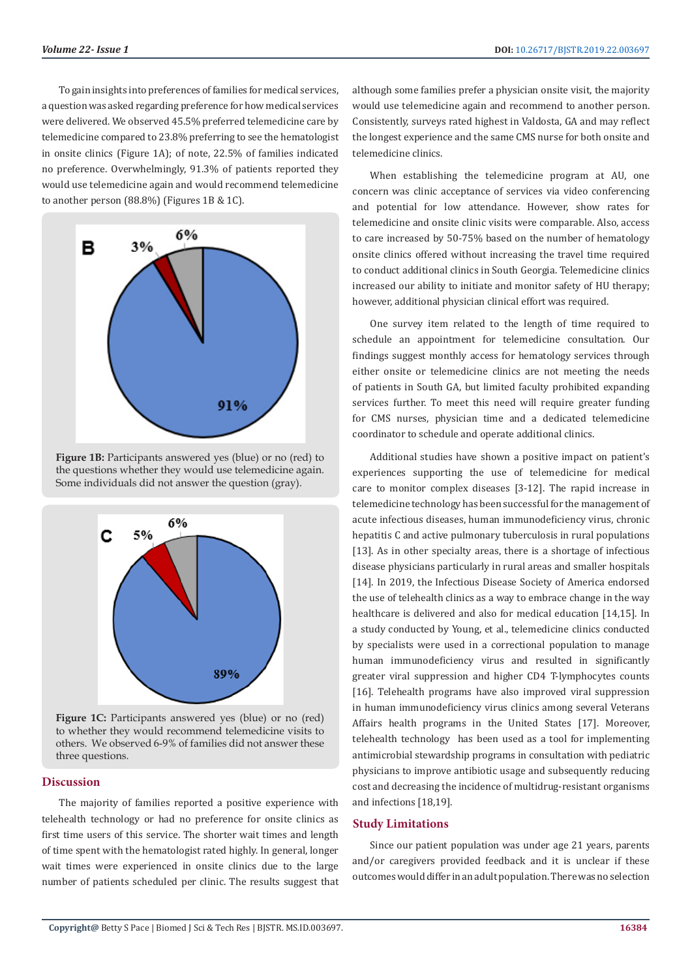To gain insights into preferences of families for medical services, a question was asked regarding preference for how medical services were delivered. We observed 45.5% preferred telemedicine care by telemedicine compared to 23.8% preferring to see the hematologist in onsite clinics (Figure 1A); of note, 22.5% of families indicated no preference. Overwhelmingly, 91.3% of patients reported they would use telemedicine again and would recommend telemedicine to another person (88.8%) (Figures 1B & 1C).



**Figure 1B:** Participants answered yes (blue) or no (red) to the questions whether they would use telemedicine again. Some individuals did not answer the question (gray).



Figure 1C: Participants answered yes (blue) or no (red) to whether they would recommend telemedicine visits to others. We observed 6-9% of families did not answer these three questions.

# **Discussion**

The majority of families reported a positive experience with telehealth technology or had no preference for onsite clinics as first time users of this service. The shorter wait times and length of time spent with the hematologist rated highly. In general, longer wait times were experienced in onsite clinics due to the large number of patients scheduled per clinic. The results suggest that

although some families prefer a physician onsite visit, the majority would use telemedicine again and recommend to another person. Consistently, surveys rated highest in Valdosta, GA and may reflect the longest experience and the same CMS nurse for both onsite and telemedicine clinics.

When establishing the telemedicine program at AU, one concern was clinic acceptance of services via video conferencing and potential for low attendance. However, show rates for telemedicine and onsite clinic visits were comparable. Also, access to care increased by 50-75% based on the number of hematology onsite clinics offered without increasing the travel time required to conduct additional clinics in South Georgia. Telemedicine clinics increased our ability to initiate and monitor safety of HU therapy; however, additional physician clinical effort was required.

One survey item related to the length of time required to schedule an appointment for telemedicine consultation. Our findings suggest monthly access for hematology services through either onsite or telemedicine clinics are not meeting the needs of patients in South GA, but limited faculty prohibited expanding services further. To meet this need will require greater funding for CMS nurses, physician time and a dedicated telemedicine coordinator to schedule and operate additional clinics.

Additional studies have shown a positive impact on patient's experiences supporting the use of telemedicine for medical care to monitor complex diseases [3-12]. The rapid increase in telemedicine technology has been successful for the management of acute infectious diseases, human immunodeficiency virus, chronic hepatitis C and active pulmonary tuberculosis in rural populations [13]. As in other specialty areas, there is a shortage of infectious disease physicians particularly in rural areas and smaller hospitals [14]. In 2019, the Infectious Disease Society of America endorsed the use of telehealth clinics as a way to embrace change in the way healthcare is delivered and also for medical education [14,15]. In a study conducted by Young, et al., telemedicine clinics conducted by specialists were used in a correctional population to manage human immunodeficiency virus and resulted in significantly greater viral suppression and higher CD4 T-lymphocytes counts [16]. Telehealth programs have also improved viral suppression in human immunodeficiency virus clinics among several Veterans Affairs health programs in the United States [17]. Moreover, telehealth technology has been used as a tool for implementing antimicrobial stewardship programs in consultation with pediatric physicians to improve antibiotic usage and subsequently reducing cost and decreasing the incidence of multidrug-resistant organisms and infections [18,19].

#### **Study Limitations**

Since our patient population was under age 21 years, parents and/or caregivers provided feedback and it is unclear if these outcomes would differ in an adult population. There was no selection